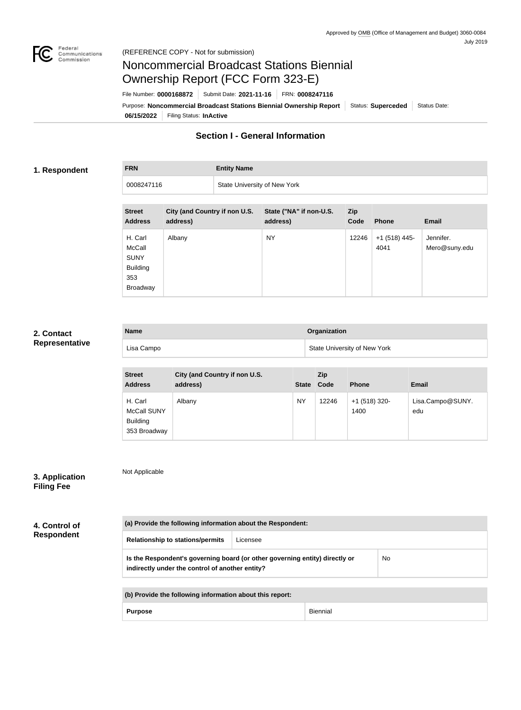

# Noncommercial Broadcast Stations Biennial Ownership Report (FCC Form 323-E)

**06/15/2022** Filing Status: **InActive** Purpose: Noncommercial Broadcast Stations Biennial Ownership Report | Status: Superceded | Status Date: File Number: **0000168872** Submit Date: **2021-11-16** FRN: **0008247116**

# **Section I - General Information**

## **1. Respondent**

**FRN Entity Name**

| 0008247116 | State University of New York |
|------------|------------------------------|
|            |                              |

| <b>Street</b><br><b>Address</b>                                        | City (and Country if non U.S.<br>address) | State ("NA" if non-U.S.<br>address) | Zip<br>Code | <b>Phone</b>            | <b>Email</b>               |
|------------------------------------------------------------------------|-------------------------------------------|-------------------------------------|-------------|-------------------------|----------------------------|
| H. Carl<br>McCall<br><b>SUNY</b><br><b>Building</b><br>353<br>Broadway | Albany                                    | <b>NY</b>                           | 12246       | $+1$ (518) 445-<br>4041 | Jennifer.<br>Mero@suny.edu |

### **2. Contact Representative**

| <b>Name</b> | Organization                        |
|-------------|-------------------------------------|
| Lisa Campo  | <b>State University of New York</b> |

| <b>Street</b><br><b>Address</b>                                  | City (and Country if non U.S.<br>address) | <b>State</b> | Zip<br>Code | <b>Phone</b>            | Email                   |
|------------------------------------------------------------------|-------------------------------------------|--------------|-------------|-------------------------|-------------------------|
| H. Carl<br><b>McCall SUNY</b><br><b>Building</b><br>353 Broadway | Albany                                    | <b>NY</b>    | 12246       | $+1$ (518) 320-<br>1400 | Lisa.Campo@SUNY.<br>edu |

| 3. Application    |  |
|-------------------|--|
| <b>Filing Fee</b> |  |

**4. Control of Respondent**

| (a) Provide the following information about the Respondent: |          |  |
|-------------------------------------------------------------|----------|--|
| <b>Relationship to stations/permits</b>                     | Licensee |  |

| Is the Respondent's governing board (or other governing entity) directly or | No |
|-----------------------------------------------------------------------------|----|
| indirectly under the control of another entity?                             |    |

Purpose **Biennial** 

Not Applicable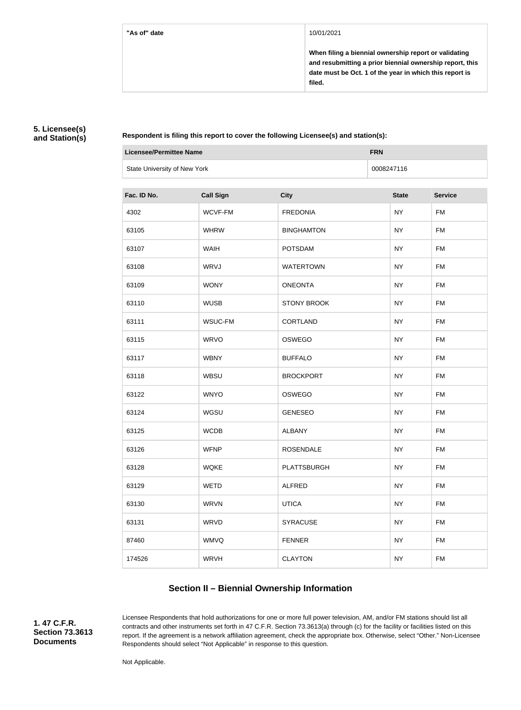**When filing a biennial ownership report or validating and resubmitting a prior biennial ownership report, this date must be Oct. 1 of the year in which this report is filed.**

# **5. Licensee(s) and Station(s)**

**Respondent is filing this report to cover the following Licensee(s) and station(s):**

| Licensee/Permittee Name      | <b>FRN</b> |
|------------------------------|------------|
| State University of New York | 0008247116 |

| Fac. ID No. | <b>Call Sign</b> | <b>City</b>        | <b>State</b> | <b>Service</b> |
|-------------|------------------|--------------------|--------------|----------------|
| 4302        | WCVF-FM          | <b>FREDONIA</b>    | <b>NY</b>    | <b>FM</b>      |
| 63105       | <b>WHRW</b>      | <b>BINGHAMTON</b>  | <b>NY</b>    | <b>FM</b>      |
| 63107       | <b>WAIH</b>      | <b>POTSDAM</b>     | <b>NY</b>    | <b>FM</b>      |
| 63108       | WRVJ             | <b>WATERTOWN</b>   | <b>NY</b>    | <b>FM</b>      |
| 63109       | <b>WONY</b>      | <b>ONEONTA</b>     | <b>NY</b>    | <b>FM</b>      |
| 63110       | <b>WUSB</b>      | <b>STONY BROOK</b> | <b>NY</b>    | <b>FM</b>      |
| 63111       | WSUC-FM          | CORTLAND           | <b>NY</b>    | <b>FM</b>      |
| 63115       | <b>WRVO</b>      | OSWEGO             | <b>NY</b>    | <b>FM</b>      |
| 63117       | <b>WBNY</b>      | <b>BUFFALO</b>     | <b>NY</b>    | <b>FM</b>      |
| 63118       | <b>WBSU</b>      | <b>BROCKPORT</b>   | <b>NY</b>    | <b>FM</b>      |
| 63122       | <b>WNYO</b>      | OSWEGO             | <b>NY</b>    | <b>FM</b>      |
| 63124       | WGSU             | <b>GENESEO</b>     | <b>NY</b>    | <b>FM</b>      |
| 63125       | <b>WCDB</b>      | <b>ALBANY</b>      | <b>NY</b>    | <b>FM</b>      |
| 63126       | <b>WFNP</b>      | <b>ROSENDALE</b>   | <b>NY</b>    | <b>FM</b>      |
| 63128       | <b>WQKE</b>      | <b>PLATTSBURGH</b> | <b>NY</b>    | <b>FM</b>      |
| 63129       | <b>WETD</b>      | <b>ALFRED</b>      | <b>NY</b>    | <b>FM</b>      |
| 63130       | <b>WRVN</b>      | <b>UTICA</b>       | <b>NY</b>    | <b>FM</b>      |
| 63131       | WRVD             | <b>SYRACUSE</b>    | <b>NY</b>    | <b>FM</b>      |
| 87460       | <b>WMVQ</b>      | <b>FENNER</b>      | <b>NY</b>    | <b>FM</b>      |
| 174526      | <b>WRVH</b>      | <b>CLAYTON</b>     | <b>NY</b>    | <b>FM</b>      |

# **Section II – Biennial Ownership Information**

**1. 47 C.F.R. Section 73.3613 Documents**

Licensee Respondents that hold authorizations for one or more full power television, AM, and/or FM stations should list all contracts and other instruments set forth in 47 C.F.R. Section 73.3613(a) through (c) for the facility or facilities listed on this report. If the agreement is a network affiliation agreement, check the appropriate box. Otherwise, select "Other." Non-Licensee Respondents should select "Not Applicable" in response to this question.

Not Applicable.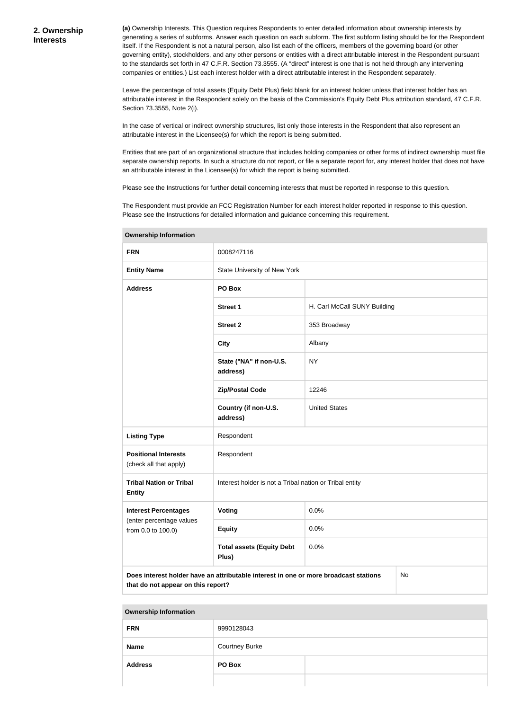**(a)** Ownership Interests. This Question requires Respondents to enter detailed information about ownership interests by generating a series of subforms. Answer each question on each subform. The first subform listing should be for the Respondent itself. If the Respondent is not a natural person, also list each of the officers, members of the governing board (or other governing entity), stockholders, and any other persons or entities with a direct attributable interest in the Respondent pursuant to the standards set forth in 47 C.F.R. Section 73.3555. (A "direct" interest is one that is not held through any intervening companies or entities.) List each interest holder with a direct attributable interest in the Respondent separately.

Leave the percentage of total assets (Equity Debt Plus) field blank for an interest holder unless that interest holder has an attributable interest in the Respondent solely on the basis of the Commission's Equity Debt Plus attribution standard, 47 C.F.R. Section 73.3555, Note 2(i).

In the case of vertical or indirect ownership structures, list only those interests in the Respondent that also represent an attributable interest in the Licensee(s) for which the report is being submitted.

Entities that are part of an organizational structure that includes holding companies or other forms of indirect ownership must file separate ownership reports. In such a structure do not report, or file a separate report for, any interest holder that does not have an attributable interest in the Licensee(s) for which the report is being submitted.

Please see the Instructions for further detail concerning interests that must be reported in response to this question.

The Respondent must provide an FCC Registration Number for each interest holder reported in response to this question. Please see the Instructions for detailed information and guidance concerning this requirement.

| <b>FRN</b>                                            | 0008247116                                                                                                                       |                              |  |  |
|-------------------------------------------------------|----------------------------------------------------------------------------------------------------------------------------------|------------------------------|--|--|
| <b>Entity Name</b>                                    | State University of New York                                                                                                     |                              |  |  |
| <b>Address</b>                                        | PO Box                                                                                                                           |                              |  |  |
|                                                       | <b>Street 1</b>                                                                                                                  | H. Carl McCall SUNY Building |  |  |
|                                                       | <b>Street 2</b>                                                                                                                  | 353 Broadway                 |  |  |
|                                                       | <b>City</b>                                                                                                                      | Albany                       |  |  |
|                                                       | State ("NA" if non-U.S.<br>address)                                                                                              | <b>NY</b>                    |  |  |
|                                                       | <b>Zip/Postal Code</b>                                                                                                           | 12246                        |  |  |
|                                                       | Country (if non-U.S.<br>address)                                                                                                 | <b>United States</b>         |  |  |
| <b>Listing Type</b>                                   | Respondent                                                                                                                       |                              |  |  |
| <b>Positional Interests</b><br>(check all that apply) | Respondent                                                                                                                       |                              |  |  |
| <b>Tribal Nation or Tribal</b><br><b>Entity</b>       | Interest holder is not a Tribal nation or Tribal entity                                                                          |                              |  |  |
| <b>Interest Percentages</b>                           | Voting                                                                                                                           | 0.0%                         |  |  |
| (enter percentage values<br>from 0.0 to 100.0)        | <b>Equity</b>                                                                                                                    | 0.0%                         |  |  |
|                                                       | <b>Total assets (Equity Debt</b><br>Plus)                                                                                        | 0.0%                         |  |  |
|                                                       | Does interest holder have an attributable interest in one or more broadcast stations<br>No<br>that do not appear on this report? |                              |  |  |

**Ownership Information**

| <b>FRN</b>     | 9990128043            |  |
|----------------|-----------------------|--|
| <b>Name</b>    | <b>Courtney Burke</b> |  |
| <b>Address</b> | PO Box                |  |
|                |                       |  |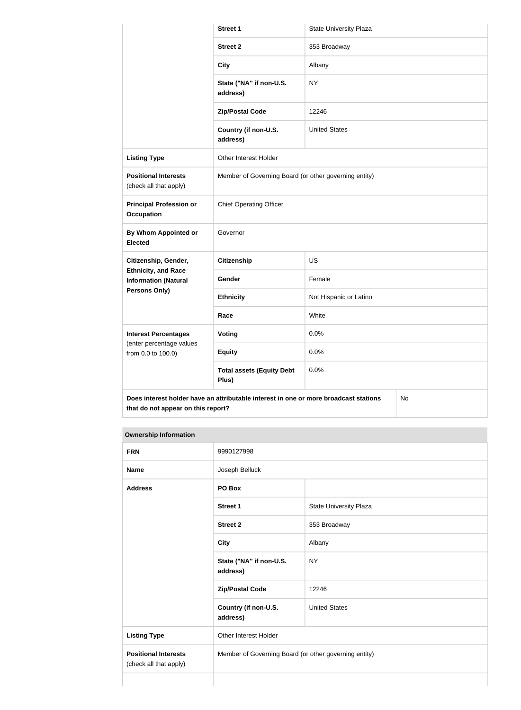|                                                           | Street 1                                                                             | <b>State University Plaza</b> |           |  |
|-----------------------------------------------------------|--------------------------------------------------------------------------------------|-------------------------------|-----------|--|
|                                                           | <b>Street 2</b>                                                                      | 353 Broadway                  |           |  |
|                                                           | <b>City</b>                                                                          | Albany                        |           |  |
|                                                           | State ("NA" if non-U.S.<br>address)                                                  | <b>NY</b>                     |           |  |
|                                                           | <b>Zip/Postal Code</b>                                                               | 12246                         |           |  |
|                                                           | Country (if non-U.S.<br>address)                                                     | <b>United States</b>          |           |  |
| <b>Listing Type</b>                                       | Other Interest Holder                                                                |                               |           |  |
| <b>Positional Interests</b><br>(check all that apply)     | Member of Governing Board (or other governing entity)                                |                               |           |  |
| <b>Principal Profession or</b><br><b>Occupation</b>       | <b>Chief Operating Officer</b>                                                       |                               |           |  |
| By Whom Appointed or<br><b>Elected</b>                    | Governor                                                                             |                               |           |  |
| Citizenship, Gender,                                      | <b>Citizenship</b>                                                                   | <b>US</b>                     |           |  |
| <b>Ethnicity, and Race</b><br><b>Information (Natural</b> | Gender                                                                               | Female                        |           |  |
| <b>Persons Only)</b>                                      | <b>Ethnicity</b>                                                                     | Not Hispanic or Latino        |           |  |
|                                                           | Race                                                                                 | White                         |           |  |
| <b>Interest Percentages</b>                               | Voting                                                                               | 0.0%                          |           |  |
| (enter percentage values<br>from 0.0 to 100.0)            | <b>Equity</b>                                                                        | 0.0%                          |           |  |
|                                                           | <b>Total assets (Equity Debt</b><br>Plus)                                            | 0.0%                          |           |  |
| that do not appear on this report?                        | Does interest holder have an attributable interest in one or more broadcast stations |                               | <b>No</b> |  |

| <b>FRN</b>                                            | 9990127998                                            |                               |
|-------------------------------------------------------|-------------------------------------------------------|-------------------------------|
| <b>Name</b>                                           | Joseph Belluck                                        |                               |
| <b>Address</b>                                        | PO Box                                                |                               |
|                                                       | <b>Street 1</b>                                       | <b>State University Plaza</b> |
|                                                       | <b>Street 2</b>                                       | 353 Broadway                  |
|                                                       | <b>City</b>                                           | Albany                        |
|                                                       | State ("NA" if non-U.S.<br>address)                   | <b>NY</b>                     |
|                                                       | <b>Zip/Postal Code</b>                                | 12246                         |
|                                                       | Country (if non-U.S.<br>address)                      | <b>United States</b>          |
| <b>Listing Type</b>                                   | Other Interest Holder                                 |                               |
| <b>Positional Interests</b><br>(check all that apply) | Member of Governing Board (or other governing entity) |                               |
|                                                       |                                                       |                               |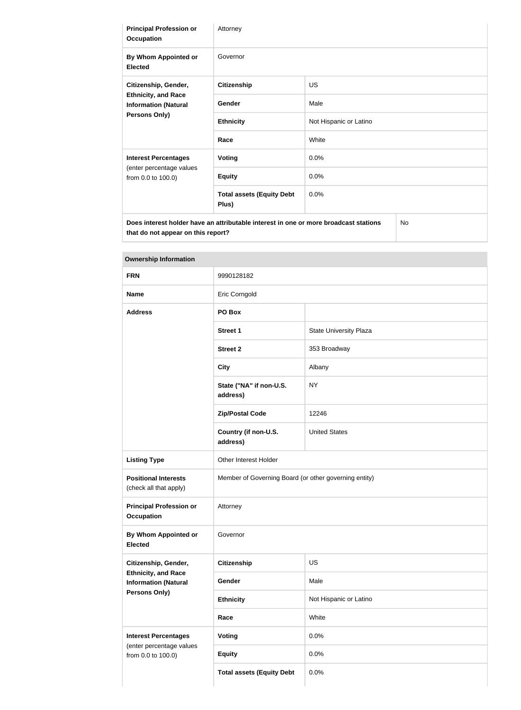| <b>Principal Profession or</b><br><b>Occupation</b>                                                | Attorney                                                                             |                        |  |
|----------------------------------------------------------------------------------------------------|--------------------------------------------------------------------------------------|------------------------|--|
| By Whom Appointed or<br><b>Elected</b>                                                             | Governor                                                                             |                        |  |
| Citizenship, Gender,<br><b>Ethnicity, and Race</b><br><b>Information (Natural</b><br>Persons Only) | <b>Citizenship</b>                                                                   | <b>US</b>              |  |
|                                                                                                    | Gender                                                                               | Male                   |  |
|                                                                                                    | <b>Ethnicity</b>                                                                     | Not Hispanic or Latino |  |
|                                                                                                    | Race                                                                                 | White                  |  |
| <b>Interest Percentages</b>                                                                        | <b>Voting</b>                                                                        | 0.0%                   |  |
| (enter percentage values<br>from 0.0 to 100.0)                                                     | <b>Equity</b>                                                                        | 0.0%                   |  |
|                                                                                                    | <b>Total assets (Equity Debt</b><br>Plus)                                            | 0.0%                   |  |
| that do not appear on this report?                                                                 | Does interest holder have an attributable interest in one or more broadcast stations | No                     |  |

| <b>FRN</b>                                                                    | 9990128182                                            |                               |
|-------------------------------------------------------------------------------|-------------------------------------------------------|-------------------------------|
| <b>Name</b>                                                                   | Eric Corngold                                         |                               |
| <b>Address</b>                                                                | PO Box                                                |                               |
|                                                                               | <b>Street 1</b>                                       | <b>State University Plaza</b> |
|                                                                               | <b>Street 2</b>                                       | 353 Broadway                  |
|                                                                               | <b>City</b>                                           | Albany                        |
|                                                                               | State ("NA" if non-U.S.<br>address)                   | <b>NY</b>                     |
|                                                                               | <b>Zip/Postal Code</b>                                | 12246                         |
|                                                                               | Country (if non-U.S.<br>address)                      | <b>United States</b>          |
| <b>Listing Type</b>                                                           | Other Interest Holder                                 |                               |
| <b>Positional Interests</b><br>(check all that apply)                         | Member of Governing Board (or other governing entity) |                               |
| <b>Principal Profession or</b><br><b>Occupation</b>                           | Attorney                                              |                               |
| By Whom Appointed or<br><b>Elected</b>                                        | Governor                                              |                               |
| Citizenship, Gender,                                                          | <b>Citizenship</b>                                    | US                            |
| <b>Ethnicity, and Race</b><br><b>Information (Natural</b>                     | Gender                                                | Male                          |
| <b>Persons Only)</b>                                                          | <b>Ethnicity</b>                                      | Not Hispanic or Latino        |
|                                                                               | Race                                                  | White                         |
| <b>Interest Percentages</b><br>(enter percentage values<br>from 0.0 to 100.0) | Voting                                                | 0.0%                          |
|                                                                               | <b>Equity</b>                                         | 0.0%                          |
|                                                                               | <b>Total assets (Equity Debt</b>                      | 0.0%                          |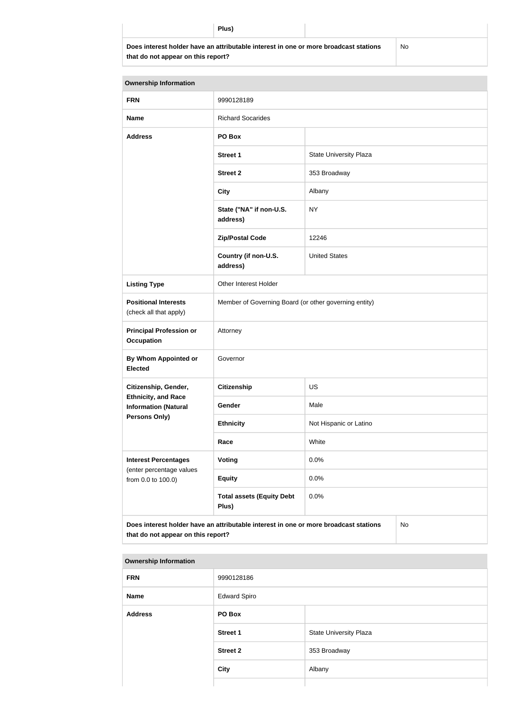**Does interest holder have an attributable interest in one or more broadcast stations that do not appear on this report?**

No

| <b>Ownership Information</b>                                                                                                     |                                                       |                               |  |  |
|----------------------------------------------------------------------------------------------------------------------------------|-------------------------------------------------------|-------------------------------|--|--|
| <b>FRN</b>                                                                                                                       | 9990128189                                            |                               |  |  |
| <b>Name</b>                                                                                                                      | <b>Richard Socarides</b>                              |                               |  |  |
| <b>Address</b>                                                                                                                   | PO Box                                                |                               |  |  |
|                                                                                                                                  | <b>Street 1</b>                                       | <b>State University Plaza</b> |  |  |
|                                                                                                                                  | <b>Street 2</b>                                       | 353 Broadway                  |  |  |
|                                                                                                                                  | <b>City</b>                                           | Albany                        |  |  |
|                                                                                                                                  | State ("NA" if non-U.S.<br>address)                   | <b>NY</b>                     |  |  |
|                                                                                                                                  | <b>Zip/Postal Code</b>                                | 12246                         |  |  |
|                                                                                                                                  | Country (if non-U.S.<br>address)                      | <b>United States</b>          |  |  |
| <b>Listing Type</b>                                                                                                              | Other Interest Holder                                 |                               |  |  |
| <b>Positional Interests</b><br>(check all that apply)                                                                            | Member of Governing Board (or other governing entity) |                               |  |  |
| <b>Principal Profession or</b><br><b>Occupation</b>                                                                              | Attorney                                              |                               |  |  |
| <b>By Whom Appointed or</b><br><b>Elected</b>                                                                                    | Governor                                              |                               |  |  |
| Citizenship, Gender,                                                                                                             | <b>Citizenship</b>                                    | <b>US</b>                     |  |  |
| <b>Ethnicity, and Race</b><br><b>Information (Natural</b>                                                                        | Gender                                                | Male                          |  |  |
| <b>Persons Only)</b>                                                                                                             | <b>Ethnicity</b>                                      | Not Hispanic or Latino        |  |  |
|                                                                                                                                  | Race                                                  | White                         |  |  |
| <b>Interest Percentages</b><br>(enter percentage values                                                                          | <b>Voting</b>                                         | 0.0%                          |  |  |
| from 0.0 to 100.0)                                                                                                               | <b>Equity</b>                                         | 0.0%                          |  |  |
|                                                                                                                                  | <b>Total assets (Equity Debt</b><br>Plus)             | 0.0%                          |  |  |
| Does interest holder have an attributable interest in one or more broadcast stations<br>No<br>that do not appear on this report? |                                                       |                               |  |  |

| <b>FRN</b>     | 9990128186          |                               |
|----------------|---------------------|-------------------------------|
| <b>Name</b>    | <b>Edward Spiro</b> |                               |
| <b>Address</b> | PO Box              |                               |
|                | <b>Street 1</b>     | <b>State University Plaza</b> |
|                | <b>Street 2</b>     | 353 Broadway                  |
|                | <b>City</b>         | Albany                        |
|                |                     |                               |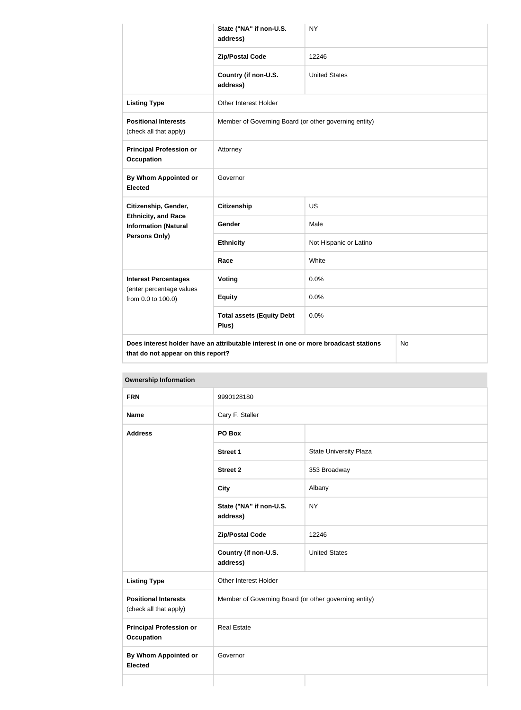|                                                           | State ("NA" if non-U.S.<br>address)                                                  | <b>NY</b>              |  |
|-----------------------------------------------------------|--------------------------------------------------------------------------------------|------------------------|--|
|                                                           | <b>Zip/Postal Code</b>                                                               | 12246                  |  |
|                                                           | Country (if non-U.S.<br>address)                                                     | <b>United States</b>   |  |
| <b>Listing Type</b>                                       | Other Interest Holder                                                                |                        |  |
| <b>Positional Interests</b><br>(check all that apply)     | Member of Governing Board (or other governing entity)                                |                        |  |
| <b>Principal Profession or</b><br><b>Occupation</b>       | Attorney                                                                             |                        |  |
| <b>By Whom Appointed or</b><br><b>Elected</b>             | Governor                                                                             |                        |  |
| Citizenship, Gender,                                      | <b>Citizenship</b>                                                                   | <b>US</b>              |  |
| <b>Ethnicity, and Race</b><br><b>Information (Natural</b> | Gender                                                                               | Male                   |  |
| <b>Persons Only)</b>                                      | <b>Ethnicity</b>                                                                     | Not Hispanic or Latino |  |
|                                                           | Race                                                                                 | White                  |  |
| <b>Interest Percentages</b>                               | Voting                                                                               | 0.0%                   |  |
| (enter percentage values<br>from 0.0 to 100.0)            | <b>Equity</b>                                                                        | 0.0%                   |  |
|                                                           | <b>Total assets (Equity Debt</b><br>Plus)                                            | 0.0%                   |  |
| that do not appear on this report?                        | Does interest holder have an attributable interest in one or more broadcast stations | No                     |  |

| <b>FRN</b>                                            | 9990128180                                            |                        |
|-------------------------------------------------------|-------------------------------------------------------|------------------------|
| <b>Name</b>                                           | Cary F. Staller                                       |                        |
| <b>Address</b>                                        | PO Box                                                |                        |
|                                                       | Street 1                                              | State University Plaza |
|                                                       | <b>Street 2</b>                                       | 353 Broadway           |
|                                                       | <b>City</b>                                           | Albany                 |
|                                                       | State ("NA" if non-U.S.<br>address)                   | <b>NY</b>              |
|                                                       | <b>Zip/Postal Code</b>                                | 12246                  |
|                                                       | Country (if non-U.S.<br>address)                      | <b>United States</b>   |
| <b>Listing Type</b>                                   | Other Interest Holder                                 |                        |
| <b>Positional Interests</b><br>(check all that apply) | Member of Governing Board (or other governing entity) |                        |
| <b>Principal Profession or</b><br><b>Occupation</b>   | <b>Real Estate</b>                                    |                        |
| <b>By Whom Appointed or</b><br><b>Elected</b>         | Governor                                              |                        |
|                                                       |                                                       |                        |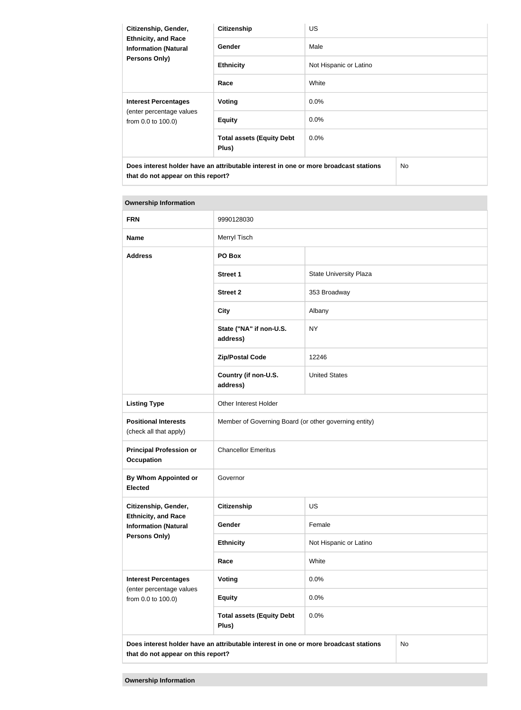| Citizenship, Gender,<br><b>Ethnicity, and Race</b><br><b>Information (Natural</b><br><b>Persons Only)</b> | <b>Citizenship</b>                        | <b>US</b>              |    |
|-----------------------------------------------------------------------------------------------------------|-------------------------------------------|------------------------|----|
|                                                                                                           | Gender                                    | Male                   |    |
|                                                                                                           | <b>Ethnicity</b>                          | Not Hispanic or Latino |    |
|                                                                                                           | Race                                      | White                  |    |
| <b>Interest Percentages</b><br>(enter percentage values<br>from 0.0 to 100.0)                             | Voting                                    | $0.0\%$                |    |
|                                                                                                           | <b>Equity</b>                             | $0.0\%$                |    |
|                                                                                                           | <b>Total assets (Equity Debt</b><br>Plus) | $0.0\%$                |    |
| Does interest holder have an attributable interest in one or more broadcast stations                      |                                           |                        | No |

**that do not appear on this report?**

| <b>FRN</b>                                                                                                                       | 9990128030                                            |                               |  |
|----------------------------------------------------------------------------------------------------------------------------------|-------------------------------------------------------|-------------------------------|--|
| <b>Name</b>                                                                                                                      | Merryl Tisch                                          |                               |  |
| <b>Address</b>                                                                                                                   | PO Box                                                |                               |  |
|                                                                                                                                  | <b>Street 1</b>                                       | <b>State University Plaza</b> |  |
|                                                                                                                                  | <b>Street 2</b>                                       | 353 Broadway                  |  |
|                                                                                                                                  | <b>City</b>                                           | Albany                        |  |
|                                                                                                                                  | State ("NA" if non-U.S.<br>address)                   | <b>NY</b>                     |  |
|                                                                                                                                  | <b>Zip/Postal Code</b>                                | 12246                         |  |
|                                                                                                                                  | Country (if non-U.S.<br>address)                      | <b>United States</b>          |  |
| <b>Listing Type</b>                                                                                                              | Other Interest Holder                                 |                               |  |
| <b>Positional Interests</b><br>(check all that apply)                                                                            | Member of Governing Board (or other governing entity) |                               |  |
| <b>Principal Profession or</b><br><b>Occupation</b>                                                                              | <b>Chancellor Emeritus</b>                            |                               |  |
| <b>By Whom Appointed or</b><br><b>Elected</b>                                                                                    | Governor                                              |                               |  |
| Citizenship, Gender,                                                                                                             | <b>Citizenship</b>                                    | US                            |  |
| <b>Ethnicity, and Race</b><br><b>Information (Natural</b>                                                                        | Gender                                                | Female                        |  |
| Persons Only)                                                                                                                    | <b>Ethnicity</b>                                      | Not Hispanic or Latino        |  |
|                                                                                                                                  | Race                                                  | White                         |  |
| <b>Interest Percentages</b>                                                                                                      | <b>Voting</b>                                         | 0.0%                          |  |
| (enter percentage values<br>from 0.0 to 100.0)                                                                                   | <b>Equity</b>                                         | 0.0%                          |  |
|                                                                                                                                  | <b>Total assets (Equity Debt</b><br>Plus)             | 0.0%                          |  |
| Does interest holder have an attributable interest in one or more broadcast stations<br>No<br>that do not appear on this report? |                                                       |                               |  |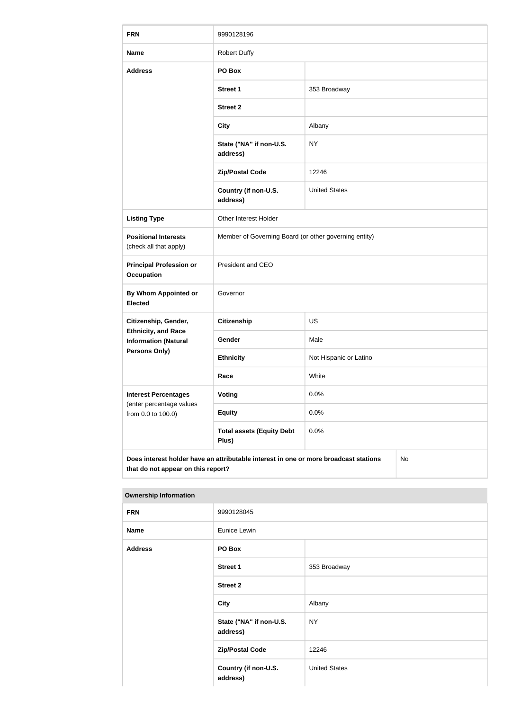| <b>FRN</b>                                                | 9990128196                                                                           |                        |  |
|-----------------------------------------------------------|--------------------------------------------------------------------------------------|------------------------|--|
| <b>Name</b>                                               | <b>Robert Duffy</b>                                                                  |                        |  |
| <b>Address</b>                                            | PO Box                                                                               |                        |  |
|                                                           | <b>Street 1</b>                                                                      | 353 Broadway           |  |
|                                                           | <b>Street 2</b>                                                                      |                        |  |
|                                                           | <b>City</b>                                                                          | Albany                 |  |
|                                                           | State ("NA" if non-U.S.<br>address)                                                  | <b>NY</b>              |  |
|                                                           | <b>Zip/Postal Code</b>                                                               | 12246                  |  |
|                                                           | Country (if non-U.S.<br>address)                                                     | <b>United States</b>   |  |
| <b>Listing Type</b>                                       | Other Interest Holder                                                                |                        |  |
| <b>Positional Interests</b><br>(check all that apply)     | Member of Governing Board (or other governing entity)                                |                        |  |
| <b>Principal Profession or</b><br><b>Occupation</b>       | President and CEO                                                                    |                        |  |
| <b>By Whom Appointed or</b><br><b>Elected</b>             | Governor                                                                             |                        |  |
| Citizenship, Gender,                                      | Citizenship                                                                          | US                     |  |
| <b>Ethnicity, and Race</b><br><b>Information (Natural</b> | Gender                                                                               | Male                   |  |
| <b>Persons Only)</b>                                      | <b>Ethnicity</b>                                                                     | Not Hispanic or Latino |  |
|                                                           | Race                                                                                 | White                  |  |
| <b>Interest Percentages</b>                               | Voting                                                                               | 0.0%                   |  |
| (enter percentage values<br>from 0.0 to 100.0)            | <b>Equity</b>                                                                        | 0.0%                   |  |
|                                                           | <b>Total assets (Equity Debt</b><br>Plus)                                            | 0.0%                   |  |
| that do not appear on this report?                        | Does interest holder have an attributable interest in one or more broadcast stations | No                     |  |

| <b>FRN</b>     | 9990128045                          |                      |
|----------------|-------------------------------------|----------------------|
| <b>Name</b>    | Eunice Lewin                        |                      |
| <b>Address</b> | PO Box                              |                      |
|                | Street 1                            | 353 Broadway         |
|                | <b>Street 2</b>                     |                      |
|                | City                                | Albany               |
|                | State ("NA" if non-U.S.<br>address) | <b>NY</b>            |
|                | <b>Zip/Postal Code</b>              | 12246                |
|                | Country (if non-U.S.<br>address)    | <b>United States</b> |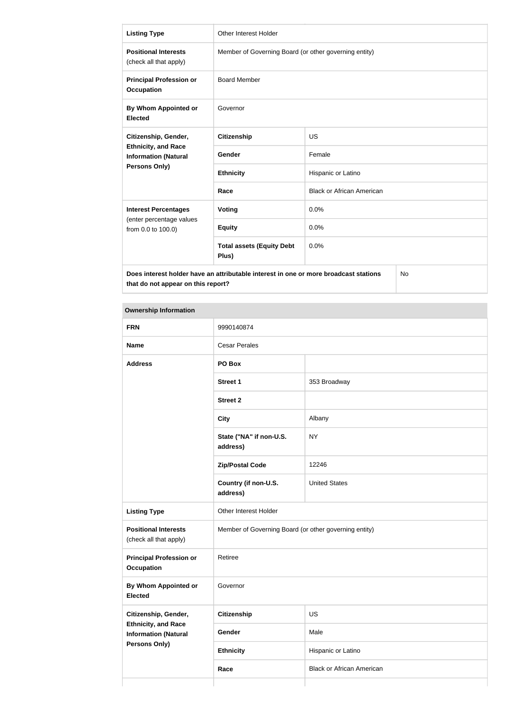| <b>Listing Type</b>                                                                                                              | Other Interest Holder                                 |                                  |  |
|----------------------------------------------------------------------------------------------------------------------------------|-------------------------------------------------------|----------------------------------|--|
| <b>Positional Interests</b><br>(check all that apply)                                                                            | Member of Governing Board (or other governing entity) |                                  |  |
| <b>Principal Profession or</b><br><b>Occupation</b>                                                                              | <b>Board Member</b>                                   |                                  |  |
| By Whom Appointed or<br><b>Elected</b>                                                                                           | Governor                                              |                                  |  |
| Citizenship, Gender,                                                                                                             | <b>Citizenship</b>                                    | US                               |  |
| <b>Ethnicity, and Race</b><br><b>Information (Natural</b>                                                                        | Gender                                                | Female                           |  |
| Persons Only)                                                                                                                    | <b>Ethnicity</b>                                      | Hispanic or Latino               |  |
|                                                                                                                                  | Race                                                  | <b>Black or African American</b> |  |
| <b>Interest Percentages</b>                                                                                                      | Voting                                                | 0.0%                             |  |
| (enter percentage values<br>from 0.0 to 100.0)                                                                                   | <b>Equity</b>                                         | 0.0%                             |  |
|                                                                                                                                  | <b>Total assets (Equity Debt</b><br>Plus)             | 0.0%                             |  |
| Does interest holder have an attributable interest in one or more broadcast stations<br>No<br>that do not appear on this report? |                                                       |                                  |  |

| <b>FRN</b>                                                                        | 9990140874                                            |                                  |
|-----------------------------------------------------------------------------------|-------------------------------------------------------|----------------------------------|
| <b>Name</b>                                                                       | <b>Cesar Perales</b>                                  |                                  |
| <b>Address</b>                                                                    | PO Box                                                |                                  |
|                                                                                   | <b>Street 1</b>                                       | 353 Broadway                     |
|                                                                                   | <b>Street 2</b>                                       |                                  |
|                                                                                   | <b>City</b>                                           | Albany                           |
|                                                                                   | State ("NA" if non-U.S.<br>address)                   | <b>NY</b>                        |
|                                                                                   | <b>Zip/Postal Code</b>                                | 12246                            |
|                                                                                   | Country (if non-U.S.<br>address)                      | <b>United States</b>             |
| <b>Listing Type</b>                                                               | Other Interest Holder                                 |                                  |
| <b>Positional Interests</b><br>(check all that apply)                             | Member of Governing Board (or other governing entity) |                                  |
| <b>Principal Profession or</b><br><b>Occupation</b>                               | Retiree                                               |                                  |
| By Whom Appointed or<br><b>Elected</b>                                            | Governor                                              |                                  |
| Citizenship, Gender,                                                              | Citizenship                                           | US                               |
| <b>Ethnicity, and Race</b><br><b>Information (Natural</b><br><b>Persons Only)</b> | Gender                                                | Male                             |
|                                                                                   | <b>Ethnicity</b>                                      | Hispanic or Latino               |
|                                                                                   | Race                                                  | <b>Black or African American</b> |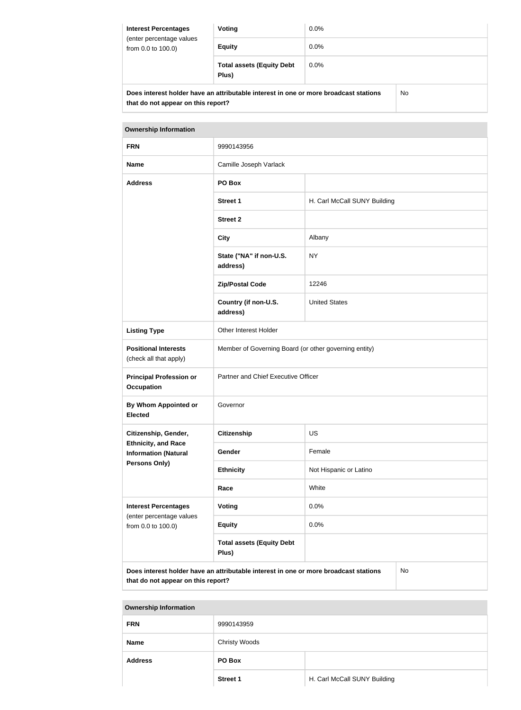| <b>Interest Percentages</b><br>(enter percentage values<br>from 0.0 to 100.0)              | Voting                                    | $0.0\%$ |  |
|--------------------------------------------------------------------------------------------|-------------------------------------------|---------|--|
|                                                                                            | <b>Equity</b>                             | $0.0\%$ |  |
|                                                                                            | <b>Total assets (Equity Debt</b><br>Plus) | $0.0\%$ |  |
| Does interest holder have an attributable interest in one or more broadcast stations<br>No |                                           |         |  |

**that do not appear on this report?**

| <b>Ownership Information</b>                                                               |                                                       |                              |  |
|--------------------------------------------------------------------------------------------|-------------------------------------------------------|------------------------------|--|
| <b>FRN</b>                                                                                 | 9990143956                                            |                              |  |
| <b>Name</b>                                                                                | Camille Joseph Varlack                                |                              |  |
| <b>Address</b>                                                                             | PO Box                                                |                              |  |
|                                                                                            | <b>Street 1</b>                                       | H. Carl McCall SUNY Building |  |
|                                                                                            | <b>Street 2</b>                                       |                              |  |
|                                                                                            | <b>City</b>                                           | Albany                       |  |
|                                                                                            | State ("NA" if non-U.S.<br>address)                   | <b>NY</b>                    |  |
|                                                                                            | <b>Zip/Postal Code</b>                                | 12246                        |  |
|                                                                                            | Country (if non-U.S.<br>address)                      | <b>United States</b>         |  |
| <b>Listing Type</b>                                                                        | Other Interest Holder                                 |                              |  |
| <b>Positional Interests</b><br>(check all that apply)                                      | Member of Governing Board (or other governing entity) |                              |  |
| <b>Principal Profession or</b><br><b>Occupation</b>                                        | Partner and Chief Executive Officer                   |                              |  |
| By Whom Appointed or<br><b>Elected</b>                                                     | Governor                                              |                              |  |
| Citizenship, Gender,                                                                       | <b>Citizenship</b>                                    | <b>US</b>                    |  |
| <b>Ethnicity, and Race</b><br><b>Information (Natural</b>                                  | Gender                                                | Female                       |  |
| Persons Only)                                                                              | <b>Ethnicity</b>                                      | Not Hispanic or Latino       |  |
|                                                                                            | Race                                                  | White                        |  |
| <b>Interest Percentages</b>                                                                | <b>Voting</b>                                         | 0.0%                         |  |
| (enter percentage values<br>from 0.0 to 100.0)                                             | <b>Equity</b>                                         | 0.0%                         |  |
|                                                                                            | <b>Total assets (Equity Debt</b><br>Plus)             |                              |  |
| Does interest holder have an attributable interest in one or more broadcast stations<br>No |                                                       |                              |  |

**Does interest holder have an attributable interest in one or more broadcast stations that do not appear on this report?**

| <b>Ownership Information</b> |                      |                              |
|------------------------------|----------------------|------------------------------|
| <b>FRN</b>                   | 9990143959           |                              |
| <b>Name</b>                  | <b>Christy Woods</b> |                              |
| <b>Address</b>               | PO Box               |                              |
|                              | <b>Street 1</b>      | H. Carl McCall SUNY Building |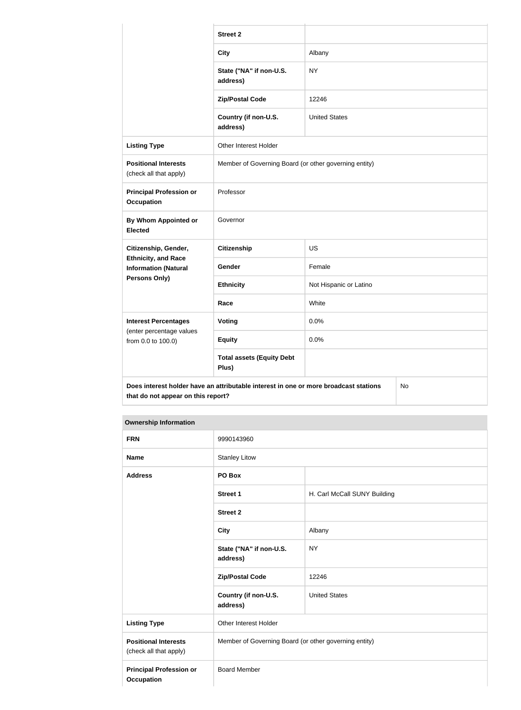|                                                                                                                                  | <b>Street 2</b>                                       |                        |  |
|----------------------------------------------------------------------------------------------------------------------------------|-------------------------------------------------------|------------------------|--|
|                                                                                                                                  | <b>City</b>                                           | Albany                 |  |
|                                                                                                                                  | State ("NA" if non-U.S.<br>address)                   | <b>NY</b>              |  |
|                                                                                                                                  | <b>Zip/Postal Code</b>                                | 12246                  |  |
|                                                                                                                                  | Country (if non-U.S.<br>address)                      | <b>United States</b>   |  |
| <b>Listing Type</b>                                                                                                              | Other Interest Holder                                 |                        |  |
| <b>Positional Interests</b><br>(check all that apply)                                                                            | Member of Governing Board (or other governing entity) |                        |  |
| <b>Principal Profession or</b><br><b>Occupation</b>                                                                              | Professor                                             |                        |  |
| By Whom Appointed or<br><b>Elected</b>                                                                                           | Governor                                              |                        |  |
| Citizenship, Gender,                                                                                                             | <b>Citizenship</b>                                    | <b>US</b>              |  |
| <b>Ethnicity, and Race</b><br><b>Information (Natural</b>                                                                        | Gender                                                | Female                 |  |
| Persons Only)                                                                                                                    | <b>Ethnicity</b>                                      | Not Hispanic or Latino |  |
|                                                                                                                                  | Race                                                  | White                  |  |
| <b>Interest Percentages</b>                                                                                                      | Voting                                                | 0.0%                   |  |
| (enter percentage values<br>from 0.0 to 100.0)                                                                                   | <b>Equity</b>                                         | 0.0%                   |  |
|                                                                                                                                  | <b>Total assets (Equity Debt</b><br>Plus)             |                        |  |
| Does interest holder have an attributable interest in one or more broadcast stations<br>No<br>that do not appear on this report? |                                                       |                        |  |

| <b>FRN</b>                                            | 9990143960                                            |                              |
|-------------------------------------------------------|-------------------------------------------------------|------------------------------|
| <b>Name</b>                                           | <b>Stanley Litow</b>                                  |                              |
| <b>Address</b>                                        | PO Box                                                |                              |
|                                                       | Street 1                                              | H. Carl McCall SUNY Building |
|                                                       | <b>Street 2</b>                                       |                              |
|                                                       | <b>City</b>                                           | Albany                       |
|                                                       | State ("NA" if non-U.S.<br>address)                   | <b>NY</b>                    |
|                                                       | <b>Zip/Postal Code</b>                                | 12246                        |
|                                                       | Country (if non-U.S.<br>address)                      | <b>United States</b>         |
| <b>Listing Type</b>                                   | Other Interest Holder                                 |                              |
| <b>Positional Interests</b><br>(check all that apply) | Member of Governing Board (or other governing entity) |                              |
| <b>Principal Profession or</b><br><b>Occupation</b>   | <b>Board Member</b>                                   |                              |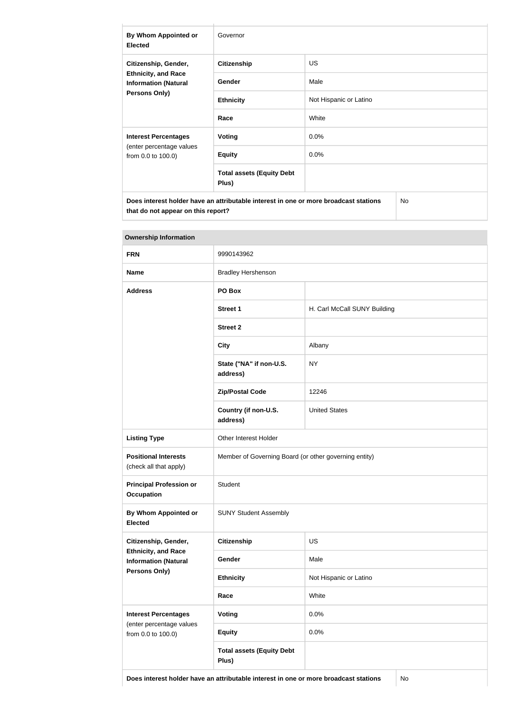| By Whom Appointed or<br><b>Elected</b>                                                                    | Governor                                  |                        |  |
|-----------------------------------------------------------------------------------------------------------|-------------------------------------------|------------------------|--|
| Citizenship, Gender,<br><b>Ethnicity, and Race</b><br><b>Information (Natural</b><br><b>Persons Only)</b> | <b>Citizenship</b>                        | <b>US</b>              |  |
|                                                                                                           | Gender                                    | Male                   |  |
|                                                                                                           | <b>Ethnicity</b>                          | Not Hispanic or Latino |  |
|                                                                                                           | Race                                      | White                  |  |
| <b>Interest Percentages</b><br>(enter percentage values<br>from 0.0 to 100.0)                             | Voting                                    | 0.0%                   |  |
|                                                                                                           | <b>Equity</b>                             | 0.0%                   |  |
|                                                                                                           | <b>Total assets (Equity Debt</b><br>Plus) |                        |  |
| Does interest holder have an attributable interest in one or more broadcast stations<br><b>No</b>         |                                           |                        |  |

| <b>Ownership Information</b>                                               |                                                       |                              |  |
|----------------------------------------------------------------------------|-------------------------------------------------------|------------------------------|--|
| <b>FRN</b>                                                                 | 9990143962                                            |                              |  |
| <b>Name</b>                                                                | <b>Bradley Hershenson</b>                             |                              |  |
| <b>Address</b>                                                             | PO Box                                                |                              |  |
|                                                                            | <b>Street 1</b>                                       | H. Carl McCall SUNY Building |  |
|                                                                            | <b>Street 2</b>                                       |                              |  |
|                                                                            | <b>City</b>                                           | Albany                       |  |
|                                                                            | State ("NA" if non-U.S.<br>address)                   | <b>NY</b>                    |  |
|                                                                            | <b>Zip/Postal Code</b>                                | 12246                        |  |
|                                                                            | Country (if non-U.S.<br>address)                      | <b>United States</b>         |  |
| <b>Listing Type</b>                                                        | Other Interest Holder                                 |                              |  |
| <b>Positional Interests</b><br>(check all that apply)                      | Member of Governing Board (or other governing entity) |                              |  |
| <b>Principal Profession or</b><br><b>Occupation</b>                        | Student                                               |                              |  |
| <b>By Whom Appointed or</b><br><b>Elected</b>                              | <b>SUNY Student Assembly</b>                          |                              |  |
| Citizenship, Gender,                                                       | <b>Citizenship</b>                                    | <b>US</b>                    |  |
| <b>Ethnicity, and Race</b><br><b>Information (Natural</b><br>Persons Only) | Gender                                                | Male                         |  |
|                                                                            | <b>Ethnicity</b>                                      | Not Hispanic or Latino       |  |
|                                                                            | Race                                                  | White                        |  |
| <b>Interest Percentages</b>                                                | <b>Voting</b>                                         | 0.0%                         |  |
| (enter percentage values<br>from 0.0 to 100.0)                             | <b>Equity</b>                                         | 0.0%                         |  |
|                                                                            | <b>Total assets (Equity Debt</b><br>Plus)             |                              |  |

**that do not appear on this report?**

**Does interest holder have an attributable interest in one or more broadcast stations** No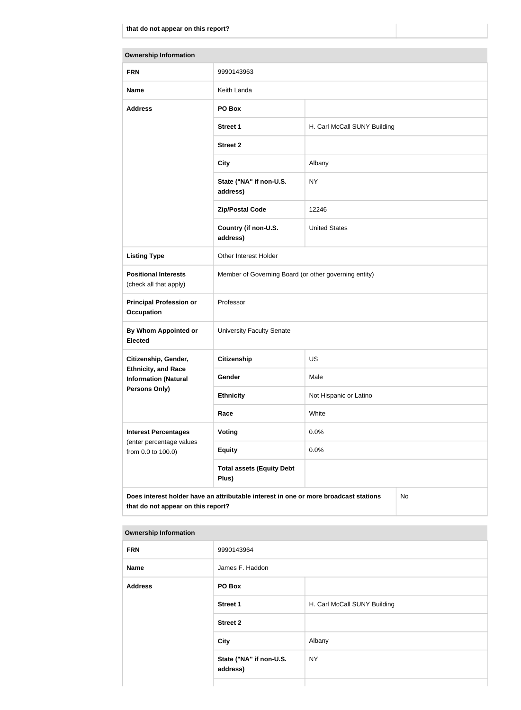| <b>Ownership Information</b>                              |                                                                                      |                              |    |
|-----------------------------------------------------------|--------------------------------------------------------------------------------------|------------------------------|----|
| <b>FRN</b>                                                | 9990143963                                                                           |                              |    |
| <b>Name</b>                                               | Keith Landa                                                                          |                              |    |
| <b>Address</b>                                            | PO Box                                                                               |                              |    |
|                                                           | <b>Street 1</b>                                                                      | H. Carl McCall SUNY Building |    |
|                                                           | <b>Street 2</b>                                                                      |                              |    |
|                                                           | <b>City</b>                                                                          | Albany                       |    |
|                                                           | State ("NA" if non-U.S.<br>address)                                                  | <b>NY</b>                    |    |
|                                                           | <b>Zip/Postal Code</b>                                                               | 12246                        |    |
|                                                           | Country (if non-U.S.<br>address)                                                     | <b>United States</b>         |    |
| <b>Listing Type</b>                                       | Other Interest Holder                                                                |                              |    |
| <b>Positional Interests</b><br>(check all that apply)     | Member of Governing Board (or other governing entity)                                |                              |    |
| <b>Principal Profession or</b><br><b>Occupation</b>       | Professor                                                                            |                              |    |
| By Whom Appointed or<br><b>Elected</b>                    | <b>University Faculty Senate</b>                                                     |                              |    |
| Citizenship, Gender,                                      | <b>Citizenship</b>                                                                   | <b>US</b>                    |    |
| <b>Ethnicity, and Race</b><br><b>Information (Natural</b> | Gender                                                                               | Male                         |    |
| <b>Persons Only)</b>                                      | <b>Ethnicity</b>                                                                     | Not Hispanic or Latino       |    |
|                                                           | Race                                                                                 | White                        |    |
| <b>Interest Percentages</b><br>(enter percentage values   | <b>Voting</b>                                                                        | 0.0%                         |    |
| from 0.0 to 100.0)                                        | <b>Equity</b>                                                                        | 0.0%                         |    |
|                                                           | <b>Total assets (Equity Debt</b><br>Plus)                                            |                              |    |
| that do not appear on this report?                        | Does interest holder have an attributable interest in one or more broadcast stations |                              | No |

| . .            |                                     |                              |
|----------------|-------------------------------------|------------------------------|
| <b>FRN</b>     | 9990143964                          |                              |
| <b>Name</b>    | James F. Haddon                     |                              |
| <b>Address</b> | PO Box                              |                              |
|                | <b>Street 1</b>                     | H. Carl McCall SUNY Building |
|                | <b>Street 2</b>                     |                              |
|                | <b>City</b>                         | Albany                       |
|                | State ("NA" if non-U.S.<br>address) | <b>NY</b>                    |
|                |                                     |                              |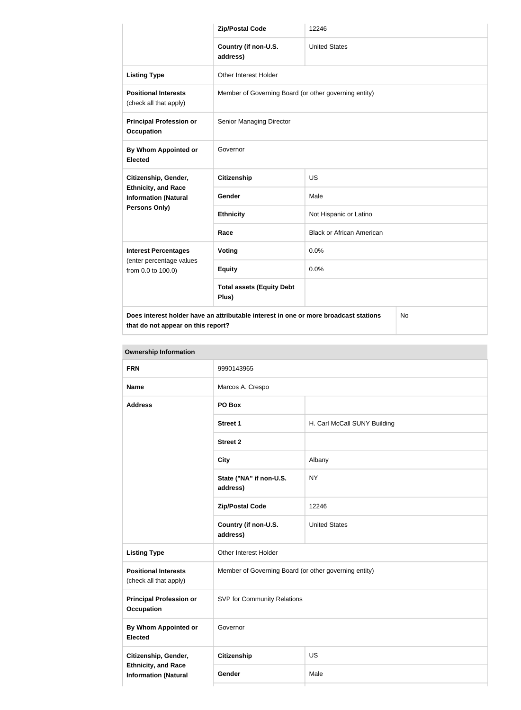|                                                                                                    | <b>Zip/Postal Code</b>                                | 12246                            |  |
|----------------------------------------------------------------------------------------------------|-------------------------------------------------------|----------------------------------|--|
|                                                                                                    | Country (if non-U.S.<br>address)                      | <b>United States</b>             |  |
| <b>Listing Type</b>                                                                                | Other Interest Holder                                 |                                  |  |
| <b>Positional Interests</b><br>(check all that apply)                                              | Member of Governing Board (or other governing entity) |                                  |  |
| <b>Principal Profession or</b><br><b>Occupation</b>                                                | Senior Managing Director                              |                                  |  |
| By Whom Appointed or<br><b>Elected</b>                                                             | Governor                                              |                                  |  |
| Citizenship, Gender,<br><b>Ethnicity, and Race</b><br><b>Information (Natural</b><br>Persons Only) | <b>Citizenship</b>                                    | <b>US</b>                        |  |
|                                                                                                    | <b>Gender</b>                                         | Male                             |  |
|                                                                                                    | <b>Ethnicity</b>                                      | Not Hispanic or Latino           |  |
|                                                                                                    | Race                                                  | <b>Black or African American</b> |  |
| <b>Interest Percentages</b><br>(enter percentage values<br>from 0.0 to 100.0)                      | <b>Voting</b>                                         | 0.0%                             |  |
|                                                                                                    | <b>Equity</b>                                         | 0.0%                             |  |
|                                                                                                    | <b>Total assets (Equity Debt</b><br>Plus)             |                                  |  |
| Does interest holder have an attributable interest in one or more broadcast stations<br>No         |                                                       |                                  |  |

**that do not appear on this report?**

| <b>Ownership Information</b>                              |                                                       |                              |  |
|-----------------------------------------------------------|-------------------------------------------------------|------------------------------|--|
| <b>FRN</b>                                                | 9990143965                                            |                              |  |
| <b>Name</b>                                               | Marcos A. Crespo                                      |                              |  |
| <b>Address</b>                                            | PO Box                                                |                              |  |
|                                                           | <b>Street 1</b>                                       | H. Carl McCall SUNY Building |  |
|                                                           | <b>Street 2</b>                                       |                              |  |
|                                                           | <b>City</b>                                           | Albany                       |  |
|                                                           | State ("NA" if non-U.S.<br>address)                   | <b>NY</b>                    |  |
|                                                           | <b>Zip/Postal Code</b>                                | 12246                        |  |
|                                                           | Country (if non-U.S.<br>address)                      | <b>United States</b>         |  |
| <b>Listing Type</b>                                       | Other Interest Holder                                 |                              |  |
| <b>Positional Interests</b><br>(check all that apply)     | Member of Governing Board (or other governing entity) |                              |  |
| <b>Principal Profession or</b><br><b>Occupation</b>       | SVP for Community Relations                           |                              |  |
| <b>By Whom Appointed or</b><br><b>Elected</b>             | Governor                                              |                              |  |
| Citizenship, Gender,                                      | Citizenship                                           | US                           |  |
| <b>Ethnicity, and Race</b><br><b>Information (Natural</b> | Gender                                                | Male                         |  |
|                                                           |                                                       |                              |  |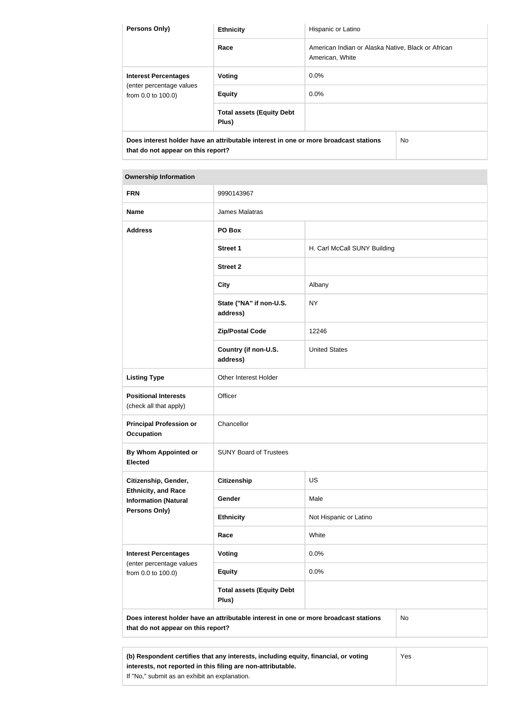| <b>Persons Only)</b>                                                                                                        | <b>Ethnicity</b>                                                                     | Hispanic or Latino                                                    |           |
|-----------------------------------------------------------------------------------------------------------------------------|--------------------------------------------------------------------------------------|-----------------------------------------------------------------------|-----------|
|                                                                                                                             | Race                                                                                 | American Indian or Alaska Native, Black or African<br>American, White |           |
| <b>Interest Percentages</b>                                                                                                 | Voting                                                                               | $0.0\%$                                                               |           |
| (enter percentage values<br>from 0.0 to 100.0)                                                                              | <b>Equity</b>                                                                        | $0.0\%$                                                               |           |
|                                                                                                                             | <b>Total assets (Equity Debt</b><br>Plus)                                            |                                                                       |           |
| $\mathbf{a}$ . The state of the state of the state $\mathbf{a}$ , $\mathbf{a}$ , $\mathbf{a}$ , $\mathbf{a}$ , $\mathbf{a}$ | Does interest holder have an attributable interest in one or more broadcast stations |                                                                       | <b>No</b> |

**that do not appear on this report?**

| <b>Ownership Information</b> |
|------------------------------|
|------------------------------|

| James Malatras<br><b>Name</b><br><b>Address</b><br>PO Box<br><b>Street 1</b><br>H. Carl McCall SUNY Building<br><b>Street 2</b><br><b>City</b><br>Albany<br>State ("NA" if non-U.S.<br><b>NY</b><br>address)<br><b>Zip/Postal Code</b><br>12246<br>Country (if non-U.S.<br><b>United States</b><br>address)<br><b>Listing Type</b><br>Other Interest Holder<br><b>Positional Interests</b><br>Officer<br>(check all that apply)<br><b>Principal Profession or</b><br>Chancellor<br><b>Occupation</b><br>By Whom Appointed or<br><b>SUNY Board of Trustees</b><br><b>Elected</b><br>US<br><b>Citizenship</b><br>Citizenship, Gender,<br><b>Ethnicity, and Race</b><br>Male<br>Gender<br><b>Information (Natural</b><br><b>Persons Only)</b><br>Not Hispanic or Latino<br><b>Ethnicity</b> | <b>FRN</b>               | 9990143967 |  |  |
|------------------------------------------------------------------------------------------------------------------------------------------------------------------------------------------------------------------------------------------------------------------------------------------------------------------------------------------------------------------------------------------------------------------------------------------------------------------------------------------------------------------------------------------------------------------------------------------------------------------------------------------------------------------------------------------------------------------------------------------------------------------------------------------|--------------------------|------------|--|--|
|                                                                                                                                                                                                                                                                                                                                                                                                                                                                                                                                                                                                                                                                                                                                                                                          |                          |            |  |  |
|                                                                                                                                                                                                                                                                                                                                                                                                                                                                                                                                                                                                                                                                                                                                                                                          |                          |            |  |  |
|                                                                                                                                                                                                                                                                                                                                                                                                                                                                                                                                                                                                                                                                                                                                                                                          |                          |            |  |  |
|                                                                                                                                                                                                                                                                                                                                                                                                                                                                                                                                                                                                                                                                                                                                                                                          |                          |            |  |  |
|                                                                                                                                                                                                                                                                                                                                                                                                                                                                                                                                                                                                                                                                                                                                                                                          |                          |            |  |  |
|                                                                                                                                                                                                                                                                                                                                                                                                                                                                                                                                                                                                                                                                                                                                                                                          |                          |            |  |  |
|                                                                                                                                                                                                                                                                                                                                                                                                                                                                                                                                                                                                                                                                                                                                                                                          |                          |            |  |  |
|                                                                                                                                                                                                                                                                                                                                                                                                                                                                                                                                                                                                                                                                                                                                                                                          |                          |            |  |  |
|                                                                                                                                                                                                                                                                                                                                                                                                                                                                                                                                                                                                                                                                                                                                                                                          |                          |            |  |  |
|                                                                                                                                                                                                                                                                                                                                                                                                                                                                                                                                                                                                                                                                                                                                                                                          |                          |            |  |  |
|                                                                                                                                                                                                                                                                                                                                                                                                                                                                                                                                                                                                                                                                                                                                                                                          |                          |            |  |  |
|                                                                                                                                                                                                                                                                                                                                                                                                                                                                                                                                                                                                                                                                                                                                                                                          |                          |            |  |  |
|                                                                                                                                                                                                                                                                                                                                                                                                                                                                                                                                                                                                                                                                                                                                                                                          |                          |            |  |  |
|                                                                                                                                                                                                                                                                                                                                                                                                                                                                                                                                                                                                                                                                                                                                                                                          |                          |            |  |  |
|                                                                                                                                                                                                                                                                                                                                                                                                                                                                                                                                                                                                                                                                                                                                                                                          |                          |            |  |  |
| White<br>Race                                                                                                                                                                                                                                                                                                                                                                                                                                                                                                                                                                                                                                                                                                                                                                            |                          |            |  |  |
| 0.0%<br><b>Interest Percentages</b><br>Voting                                                                                                                                                                                                                                                                                                                                                                                                                                                                                                                                                                                                                                                                                                                                            |                          |            |  |  |
| 0.0%<br><b>Equity</b><br>from 0.0 to 100.0)                                                                                                                                                                                                                                                                                                                                                                                                                                                                                                                                                                                                                                                                                                                                              | (enter percentage values |            |  |  |
| <b>Total assets (Equity Debt</b><br>Plus)                                                                                                                                                                                                                                                                                                                                                                                                                                                                                                                                                                                                                                                                                                                                                |                          |            |  |  |
| Does interest holder have an attributable interest in one or more broadcast stations<br>No<br>that do not appear on this report?                                                                                                                                                                                                                                                                                                                                                                                                                                                                                                                                                                                                                                                         |                          |            |  |  |
| (b) Respondent certifies that any interests including equity financial or voting<br><b>Yes</b>                                                                                                                                                                                                                                                                                                                                                                                                                                                                                                                                                                                                                                                                                           |                          |            |  |  |

| (b) Respondent certifies that any interests, including equity, financial, or voting | Yes |
|-------------------------------------------------------------------------------------|-----|
| interests, not reported in this filing are non-attributable.                        |     |
| If "No." submit as an exhibit an explanation.                                       |     |